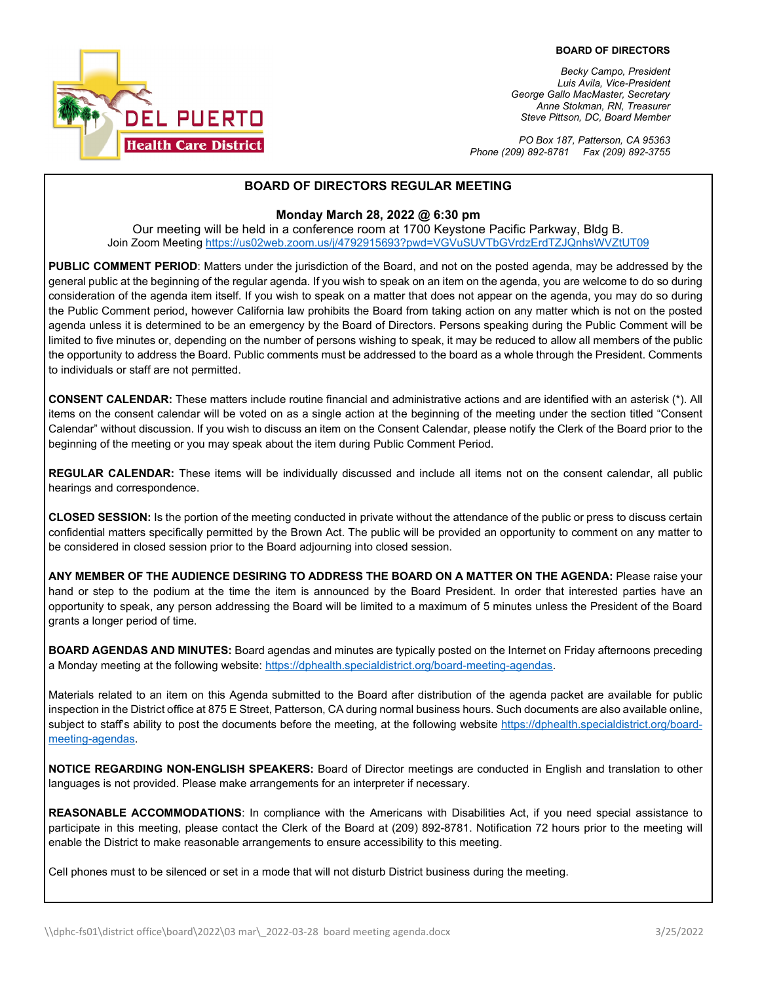

*Becky Campo, President Luis Avila, Vice-President George Gallo MacMaster, Secretary Anne Stokman, RN, Treasurer Steve Pittson, DC, Board Member*

*PO Box 187, Patterson, CA 95363 Phone (209) 892-8781 Fax (209) 892-3755*

### **BOARD OF DIRECTORS REGULAR MEETING**

#### **Monday March 28, 2022 @ 6:30 pm**

Our meeting will be held in a conference room at 1700 Keystone Pacific Parkway, Bldg B. Join Zoom Meeting <https://us02web.zoom.us/j/4792915693?pwd=VGVuSUVTbGVrdzErdTZJQnhsWVZtUT09>

**PUBLIC COMMENT PERIOD**: Matters under the jurisdiction of the Board, and not on the posted agenda, may be addressed by the general public at the beginning of the regular agenda. If you wish to speak on an item on the agenda, you are welcome to do so during consideration of the agenda item itself. If you wish to speak on a matter that does not appear on the agenda, you may do so during the Public Comment period, however California law prohibits the Board from taking action on any matter which is not on the posted agenda unless it is determined to be an emergency by the Board of Directors. Persons speaking during the Public Comment will be limited to five minutes or, depending on the number of persons wishing to speak, it may be reduced to allow all members of the public the opportunity to address the Board. Public comments must be addressed to the board as a whole through the President. Comments to individuals or staff are not permitted.

**CONSENT CALENDAR:** These matters include routine financial and administrative actions and are identified with an asterisk (\*). All items on the consent calendar will be voted on as a single action at the beginning of the meeting under the section titled "Consent Calendar" without discussion. If you wish to discuss an item on the Consent Calendar, please notify the Clerk of the Board prior to the beginning of the meeting or you may speak about the item during Public Comment Period.

**REGULAR CALENDAR:** These items will be individually discussed and include all items not on the consent calendar, all public hearings and correspondence.

**CLOSED SESSION:** Is the portion of the meeting conducted in private without the attendance of the public or press to discuss certain confidential matters specifically permitted by the Brown Act. The public will be provided an opportunity to comment on any matter to be considered in closed session prior to the Board adjourning into closed session.

**ANY MEMBER OF THE AUDIENCE DESIRING TO ADDRESS THE BOARD ON A MATTER ON THE AGENDA:** Please raise your hand or step to the podium at the time the item is announced by the Board President. In order that interested parties have an opportunity to speak, any person addressing the Board will be limited to a maximum of 5 minutes unless the President of the Board grants a longer period of time.

**BOARD AGENDAS AND MINUTES:** Board agendas and minutes are typically posted on the Internet on Friday afternoons preceding a Monday meeting at the following website: [https://dphealth.specialdistrict.org/board-meeting-agendas.](https://dphealth.specialdistrict.org/board-meeting-agendas) 

Materials related to an item on this Agenda submitted to the Board after distribution of the agenda packet are available for public inspection in the District office at 875 E Street, Patterson, CA during normal business hours. Such documents are also available online, subject to staff's ability to post the documents before the meeting, at the following website [https://dphealth.specialdistrict.org/board](https://dphealth.specialdistrict.org/board-meeting-agendas)[meeting-agendas.](https://dphealth.specialdistrict.org/board-meeting-agendas)

**NOTICE REGARDING NON-ENGLISH SPEAKERS:** Board of Director meetings are conducted in English and translation to other languages is not provided. Please make arrangements for an interpreter if necessary.

**REASONABLE ACCOMMODATIONS**: In compliance with the Americans with Disabilities Act, if you need special assistance to participate in this meeting, please contact the Clerk of the Board at (209) 892-8781. Notification 72 hours prior to the meeting will enable the District to make reasonable arrangements to ensure accessibility to this meeting.

Cell phones must to be silenced or set in a mode that will not disturb District business during the meeting.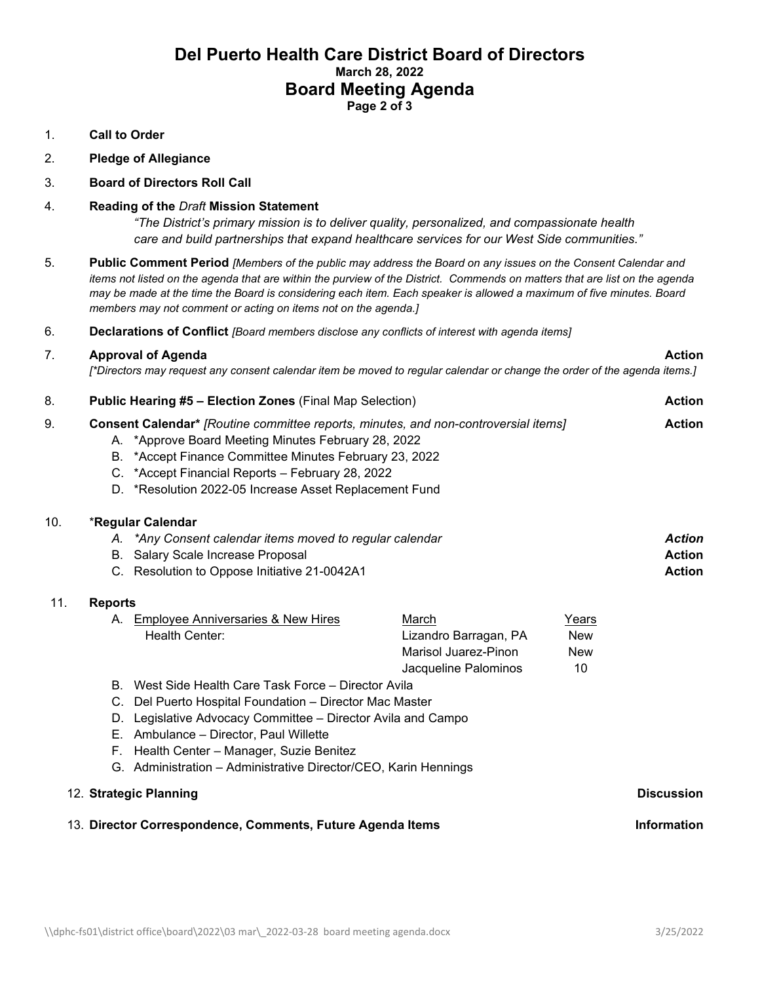# **Del Puerto Health Care District Board of Directors March 28, 2022 Board Meeting Agenda Page 2 of 3**

#### 1. **Call to Order**

2. **Pledge of Allegiance** 

#### 3. **Board of Directors Roll Call**

#### 4. **Reading of the** *Draft* **Mission Statement**

*"The District's primary mission is to deliver quality, personalized, and compassionate health care and build partnerships that expand healthcare services for our West Side communities."*

- 5. **Public Comment Period** *[Members of the public may address the Board on any issues on the Consent Calendar and items not listed on the agenda that are within the purview of the District. Commends on matters that are list on the agenda may be made at the time the Board is considering each item. Each speaker is allowed a maximum of five minutes. Board members may not comment or acting on items not on the agenda.]*
- 6. **Declarations of Conflict** *[Board members disclose any conflicts of interest with agenda items]*

#### 7. **Approval of Agenda Action**

*[\*Directors may request any consent calendar item be moved to regular calendar or change the order of the agenda items.]*

| 8.  | <b>Public Hearing #5 - Election Zones (Final Map Selection)</b>                                                                                                                                                                                                                                                                                       |                                                                                                                                                                    |                                                                                | <b>Action</b>                           |                                                 |
|-----|-------------------------------------------------------------------------------------------------------------------------------------------------------------------------------------------------------------------------------------------------------------------------------------------------------------------------------------------------------|--------------------------------------------------------------------------------------------------------------------------------------------------------------------|--------------------------------------------------------------------------------|-----------------------------------------|-------------------------------------------------|
| 9.  | Consent Calendar* [Routine committee reports, minutes, and non-controversial items]<br>A. *Approve Board Meeting Minutes February 28, 2022<br>*Accept Finance Committee Minutes February 23, 2022<br>В.<br>C. *Accept Financial Reports - February 28, 2022<br>D. *Resolution 2022-05 Increase Asset Replacement Fund                                 |                                                                                                                                                                    |                                                                                | <b>Action</b>                           |                                                 |
| 10. |                                                                                                                                                                                                                                                                                                                                                       | *Regular Calendar<br>A. *Any Consent calendar items moved to regular calendar<br>B. Salary Scale Increase Proposal<br>C. Resolution to Oppose Initiative 21-0042A1 |                                                                                |                                         | <b>Action</b><br><b>Action</b><br><b>Action</b> |
| 11. | <b>Reports</b><br>А.                                                                                                                                                                                                                                                                                                                                  | Employee Anniversaries & New Hires<br>Health Center:                                                                                                               | March<br>Lizandro Barragan, PA<br>Marisol Juarez-Pinon<br>Jacqueline Palominos | Years<br><b>New</b><br><b>New</b><br>10 |                                                 |
|     | B. West Side Health Care Task Force – Director Avila<br>Del Puerto Hospital Foundation - Director Mac Master<br>C.<br>Legislative Advocacy Committee – Director Avila and Campo<br>D.<br>Ambulance - Director, Paul Willette<br>Е.<br>Health Center - Manager, Suzie Benitez<br>F.<br>G. Administration - Administrative Director/CEO, Karin Hennings |                                                                                                                                                                    |                                                                                |                                         |                                                 |
|     |                                                                                                                                                                                                                                                                                                                                                       | 12. Strategic Planning                                                                                                                                             |                                                                                |                                         | <b>Discussion</b>                               |
|     |                                                                                                                                                                                                                                                                                                                                                       | 13. Director Correspondence, Comments, Future Agenda Items                                                                                                         |                                                                                |                                         | <b>Information</b>                              |